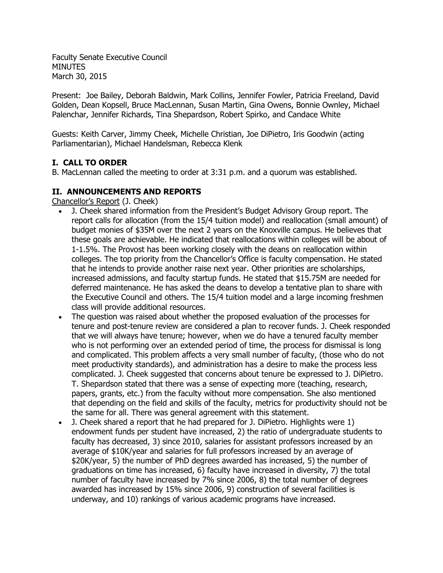Faculty Senate Executive Council MINUTES March 30, 2015

Present: Joe Bailey, Deborah Baldwin, Mark Collins, Jennifer Fowler, Patricia Freeland, David Golden, Dean Kopsell, Bruce MacLennan, Susan Martin, Gina Owens, Bonnie Ownley, Michael Palenchar, Jennifer Richards, Tina Shepardson, Robert Spirko, and Candace White

Guests: Keith Carver, Jimmy Cheek, Michelle Christian, Joe DiPietro, Iris Goodwin (acting Parliamentarian), Michael Handelsman, Rebecca Klenk

# **I. CALL TO ORDER**

B. MacLennan called the meeting to order at 3:31 p.m. and a quorum was established.

## **II. ANNOUNCEMENTS AND REPORTS**

Chancellor's Report (J. Cheek)

- J. Cheek shared information from the President's Budget Advisory Group report. The report calls for allocation (from the 15/4 tuition model) and reallocation (small amount) of budget monies of \$35M over the next 2 years on the Knoxville campus. He believes that these goals are achievable. He indicated that reallocations within colleges will be about of 1-1.5%. The Provost has been working closely with the deans on reallocation within colleges. The top priority from the Chancellor's Office is faculty compensation. He stated that he intends to provide another raise next year. Other priorities are scholarships, increased admissions, and faculty startup funds. He stated that \$15.75M are needed for deferred maintenance. He has asked the deans to develop a tentative plan to share with the Executive Council and others. The 15/4 tuition model and a large incoming freshmen class will provide additional resources.
- The question was raised about whether the proposed evaluation of the processes for tenure and post-tenure review are considered a plan to recover funds. J. Cheek responded that we will always have tenure; however, when we do have a tenured faculty member who is not performing over an extended period of time, the process for dismissal is long and complicated. This problem affects a very small number of faculty, (those who do not meet productivity standards), and administration has a desire to make the process less complicated. J. Cheek suggested that concerns about tenure be expressed to J. DiPietro. T. Shepardson stated that there was a sense of expecting more (teaching, research, papers, grants, etc.) from the faculty without more compensation. She also mentioned that depending on the field and skills of the faculty, metrics for productivity should not be the same for all. There was general agreement with this statement.
- J. Cheek shared a report that he had prepared for J. DiPietro. Highlights were 1) endowment funds per student have increased, 2) the ratio of undergraduate students to faculty has decreased, 3) since 2010, salaries for assistant professors increased by an average of \$10K/year and salaries for full professors increased by an average of \$20K/year, 5) the number of PhD degrees awarded has increased, 5) the number of graduations on time has increased, 6) faculty have increased in diversity, 7) the total number of faculty have increased by 7% since 2006, 8) the total number of degrees awarded has increased by 15% since 2006, 9) construction of several facilities is underway, and 10) rankings of various academic programs have increased.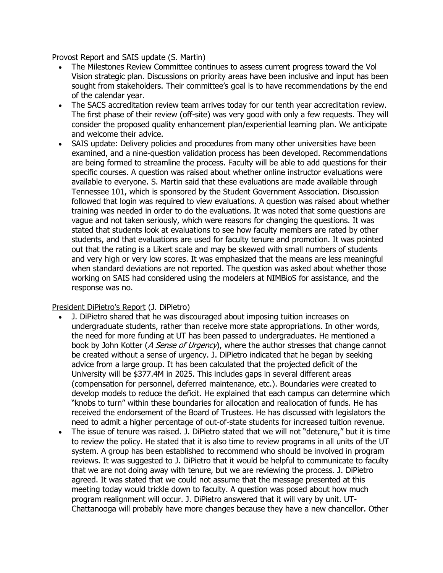Provost Report and SAIS update (S. Martin)

- The Milestones Review Committee continues to assess current progress toward the Vol Vision strategic plan. Discussions on priority areas have been inclusive and input has been sought from stakeholders. Their committee's goal is to have recommendations by the end of the calendar year.
- The SACS accreditation review team arrives today for our tenth year accreditation review. The first phase of their review (off-site) was very good with only a few requests. They will consider the proposed quality enhancement plan/experiential learning plan. We anticipate and welcome their advice.
- SAIS update: Delivery policies and procedures from many other universities have been examined, and a nine-question validation process has been developed. Recommendations are being formed to streamline the process. Faculty will be able to add questions for their specific courses. A question was raised about whether online instructor evaluations were available to everyone. S. Martin said that these evaluations are made available through Tennessee 101, which is sponsored by the Student Government Association. Discussion followed that login was required to view evaluations. A question was raised about whether training was needed in order to do the evaluations. It was noted that some questions are vague and not taken seriously, which were reasons for changing the questions. It was stated that students look at evaluations to see how faculty members are rated by other students, and that evaluations are used for faculty tenure and promotion. It was pointed out that the rating is a Likert scale and may be skewed with small numbers of students and very high or very low scores. It was emphasized that the means are less meaningful when standard deviations are not reported. The question was asked about whether those working on SAIS had considered using the modelers at NIMBioS for assistance, and the response was no.

#### President DiPietro's Report (J. DiPietro)

- J. DiPietro shared that he was discouraged about imposing tuition increases on undergraduate students, rather than receive more state appropriations. In other words, the need for more funding at UT has been passed to undergraduates. He mentioned a book by John Kotter (A Sense of Urgency), where the author stresses that change cannot be created without a sense of urgency. J. DiPietro indicated that he began by seeking advice from a large group. It has been calculated that the projected deficit of the University will be \$377.4M in 2025. This includes gaps in several different areas (compensation for personnel, deferred maintenance, etc.). Boundaries were created to develop models to reduce the deficit. He explained that each campus can determine which "knobs to turn" within these boundaries for allocation and reallocation of funds. He has received the endorsement of the Board of Trustees. He has discussed with legislators the need to admit a higher percentage of out-of-state students for increased tuition revenue.
- The issue of tenure was raised. J. DiPietro stated that we will not "detenure," but it is time to review the policy. He stated that it is also time to review programs in all units of the UT system. A group has been established to recommend who should be involved in program reviews. It was suggested to J. DiPietro that it would be helpful to communicate to faculty that we are not doing away with tenure, but we are reviewing the process. J. DiPietro agreed. It was stated that we could not assume that the message presented at this meeting today would trickle down to faculty. A question was posed about how much program realignment will occur. J. DiPietro answered that it will vary by unit. UT-Chattanooga will probably have more changes because they have a new chancellor. Other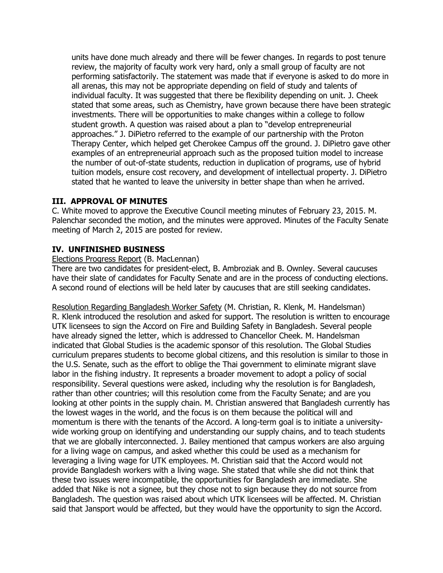units have done much already and there will be fewer changes. In regards to post tenure review, the majority of faculty work very hard, only a small group of faculty are not performing satisfactorily. The statement was made that if everyone is asked to do more in all arenas, this may not be appropriate depending on field of study and talents of individual faculty. It was suggested that there be flexibility depending on unit. J. Cheek stated that some areas, such as Chemistry, have grown because there have been strategic investments. There will be opportunities to make changes within a college to follow student growth. A question was raised about a plan to "develop entrepreneurial approaches." J. DiPietro referred to the example of our partnership with the Proton Therapy Center, which helped get Cherokee Campus off the ground. J. DiPietro gave other examples of an entrepreneurial approach such as the proposed tuition model to increase the number of out-of-state students, reduction in duplication of programs, use of hybrid tuition models, ensure cost recovery, and development of intellectual property. J. DiPietro stated that he wanted to leave the university in better shape than when he arrived.

## **III. APPROVAL OF MINUTES**

C. White moved to approve the Executive Council meeting minutes of February 23, 2015. M. Palenchar seconded the motion, and the minutes were approved. Minutes of the Faculty Senate meeting of March 2, 2015 are posted for review.

## **IV. UNFINISHED BUSINESS**

#### Elections Progress Report (B. MacLennan)

There are two candidates for president-elect, B. Ambroziak and B. Ownley. Several caucuses have their slate of candidates for Faculty Senate and are in the process of conducting elections. A second round of elections will be held later by caucuses that are still seeking candidates.

Resolution Regarding Bangladesh Worker Safety (M. Christian, R. Klenk, M. Handelsman) R. Klenk introduced the resolution and asked for support. The resolution is written to encourage UTK licensees to sign the Accord on Fire and Building Safety in Bangladesh. Several people have already signed the letter, which is addressed to Chancellor Cheek. M. Handelsman indicated that Global Studies is the academic sponsor of this resolution. The Global Studies curriculum prepares students to become global citizens, and this resolution is similar to those in the U.S. Senate, such as the effort to oblige the Thai government to eliminate migrant slave labor in the fishing industry. It represents a broader movement to adopt a policy of social responsibility. Several questions were asked, including why the resolution is for Bangladesh, rather than other countries; will this resolution come from the Faculty Senate; and are you looking at other points in the supply chain. M. Christian answered that Bangladesh currently has the lowest wages in the world, and the focus is on them because the political will and momentum is there with the tenants of the Accord. A long-term goal is to initiate a universitywide working group on identifying and understanding our supply chains, and to teach students that we are globally interconnected. J. Bailey mentioned that campus workers are also arguing for a living wage on campus, and asked whether this could be used as a mechanism for leveraging a living wage for UTK employees. M. Christian said that the Accord would not provide Bangladesh workers with a living wage. She stated that while she did not think that these two issues were incompatible, the opportunities for Bangladesh are immediate. She added that Nike is not a signee, but they chose not to sign because they do not source from Bangladesh. The question was raised about which UTK licensees will be affected. M. Christian said that Jansport would be affected, but they would have the opportunity to sign the Accord.